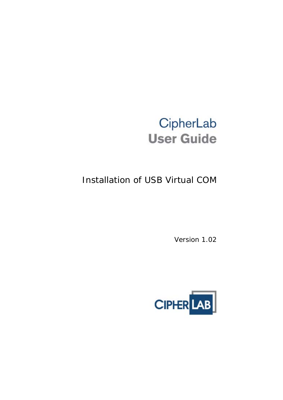# CipherLab **User Guide**

# Installation of USB Virtual COM

Version 1.02

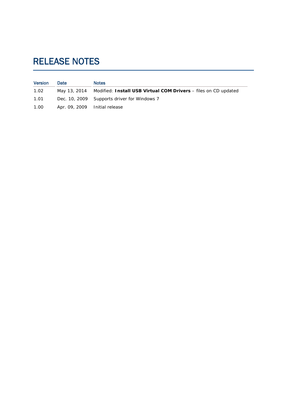## <span id="page-1-0"></span>RELEASE NOTES

| <b>Version</b> | Date                          | <b>Notes</b>                                                                 |
|----------------|-------------------------------|------------------------------------------------------------------------------|
| 1.02           |                               | May 13, 2014 Modified: Install USB Virtual COM Drivers – files on CD updated |
| 1.01           |                               | Dec. 10, 2009 Supports driver for Windows 7                                  |
| 1.00           | Apr. 09, 2009 Initial release |                                                                              |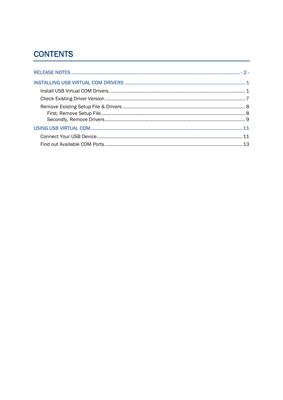### **CONTENTS**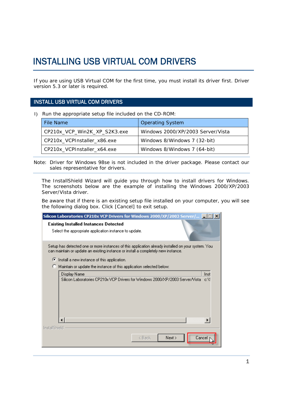### <span id="page-4-0"></span>INSTALLING USB VIRTUAL COM DRIVERS

If you are using USB Virtual COM for the first time, you must install its driver first. Driver version 5.3 or later is required.

#### INSTALL USB VIRTUAL COM DRIVERS

1) Run the appropriate setup file included on the CD-ROM:

| File Name                    | <b>Operating System</b>           |
|------------------------------|-----------------------------------|
| CP210x_VCP_Win2K_XP_S2K3.exe | Windows 2000/XP/2003 Server/Vista |
| CP210x_VCPInstaller_x86.exe  | Windows 8/Windows 7 (32-bit)      |
| CP210x_VCPInstaller_x64.exe  | Windows 8/Windows 7 (64-bit)      |

Note: Driver for Windows 98se is not included in the driver package. Please contact our sales representative for drivers.

The InstallShield Wizard will guide you through how to install drivers for Windows. The screenshots below are the example of installing the Windows 2000/XP/2003 Server/Vista driver.

Be aware that if there is an existing setup file installed on your computer, you will see the following dialog box. Click [Cancel] to exit setup.

| <b>Silicon Laboratories CP210x VCP Drivers for Windows 2000/XP/2003 Server/</b>                                                                                                         |  |
|-----------------------------------------------------------------------------------------------------------------------------------------------------------------------------------------|--|
| <b>Existing Installed Instances Detected</b><br>Select the appropriate application instance to update.                                                                                  |  |
| Setup has detected one or more instances of this application already installed on your system. You<br>can maintain or update an existing instance or install a completely new instance. |  |
| ◯ Install a new instance of this application.                                                                                                                                           |  |
| Maintain or update the instance of this application selected below:                                                                                                                     |  |
| Display Name<br>Inst<br>Silicon Laboratories CP210x VCP Drivers for Windows 2000/XP/2003 Server/Vista - c:\!                                                                            |  |
|                                                                                                                                                                                         |  |
| InstallShield<br>Next<br>Cancel<br>< Back                                                                                                                                               |  |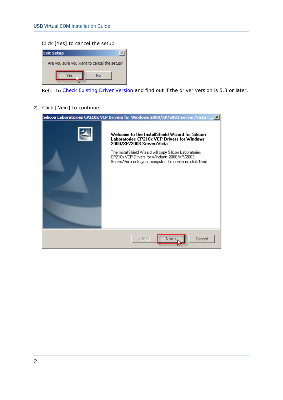#### Click [Yes] to cancel the setup.

| <b>Exit Setup</b>                          |    |  |
|--------------------------------------------|----|--|
| Are you sure you want to cancel the setup? |    |  |
| Yes                                        | Nο |  |
|                                            |    |  |

Refer to [Check Existing Driver Version](#page-10-0) and find out if the driver version is 5.3 or later.

2) Click [Next] to continue.

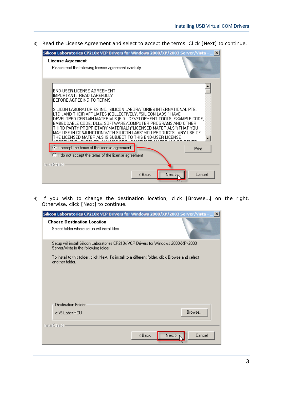3) Read the License Agreement and select to accept the terms. Click [Next] to continue.

| Silicon Laboratories CP210x VCP Drivers for Windows 2000/XP/2003 Server/Vista -    X                                                                                                                                                                                                                                                                                                                                                                                                                                                                                         |  |
|------------------------------------------------------------------------------------------------------------------------------------------------------------------------------------------------------------------------------------------------------------------------------------------------------------------------------------------------------------------------------------------------------------------------------------------------------------------------------------------------------------------------------------------------------------------------------|--|
| License Agreement<br>Please read the following license agreement carefully.                                                                                                                                                                                                                                                                                                                                                                                                                                                                                                  |  |
| END-USER LICENSE AGREEMENT<br>IIMPORTANT: READ CAREFULLY<br>BEFORE AGREEING TO TERMS<br>SILICON LABORATORIES INC., SILICON LABORATORIES INTERNATIONAL PTE.<br>LTD., AND THEIR AFFILIATES (COLLECTIVELY, "SILICON LABS") HAVE<br>DEVELOPED CERTAIN MATERIALS (E.G., DEVELOPMENT TOOLS, EXAMPLE CODE,<br>EMBEDDABLE CODE, DLLs, SOFTWARE/COMPUTER PROGRAMS AND OTHER<br>THIRD PARTY PROPRIETARY MATERIAL) ("LICENSED MATERIALS") THAT YOU<br>MAY USE IN CONJUNCTION WITH SILICON LABS' MCU PRODUCTS.  ANY USE OF<br>THE LICENSED MATERIALS IS SHBJECT TO THIS END-HSER LICENSE |  |
| I accept the terms of the license agreement<br>Print<br>$\bigcirc$ I do not accept the terms of the license agreement                                                                                                                                                                                                                                                                                                                                                                                                                                                        |  |
| InstallShield<br>Next ><br>Cancel<br>< Back                                                                                                                                                                                                                                                                                                                                                                                                                                                                                                                                  |  |

4) If you wish to change the destination location, click [Browse…] on the right. Otherwise, click [Next] to continue.

| <b>Silicon Laboratories CP210x VCP Drivers for Windows 2000/XP/2003 Server/Vista - </b> X                                                                                                                                        |
|----------------------------------------------------------------------------------------------------------------------------------------------------------------------------------------------------------------------------------|
| <b>Choose Destination Location</b><br>Select folder where setup will install files.                                                                                                                                              |
| Setup will install Silicon Laboratories CP210x VCP Drivers for Windows 2000/XP/2003<br>Server/Vista in the following folder.<br>To install to this folder, click Next. To install to a different folder, click Browse and select |
| another folder.                                                                                                                                                                                                                  |
| <b>Destination Folder</b><br>Browse<br>c:\SiLabs\MCU                                                                                                                                                                             |
|                                                                                                                                                                                                                                  |
| <b>InstallShield</b><br>Next > 1<br>Cancel<br>< Back                                                                                                                                                                             |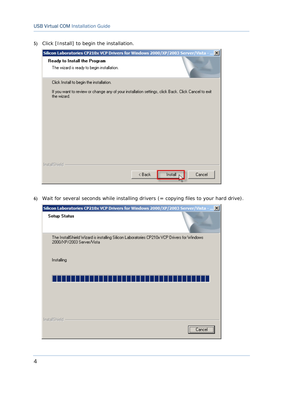5) Click [Install] to begin the installation.

| Silicon Laboratories CP210x VCP Drivers for Windows 2000/XP/2003 Server/Vista -<br><u>. x </u>                     |  |
|--------------------------------------------------------------------------------------------------------------------|--|
| Ready to Install the Program<br>The wizard is ready to begin installation.                                         |  |
| Click Install to begin the installation.                                                                           |  |
| If you want to review or change any of your installation settings, click Back. Click Cancel to exit<br>the wizard. |  |
|                                                                                                                    |  |
|                                                                                                                    |  |
|                                                                                                                    |  |
|                                                                                                                    |  |
|                                                                                                                    |  |
|                                                                                                                    |  |
| InstallShield                                                                                                      |  |
| Cancel<br>Install<br>< Back                                                                                        |  |

6) Wait for several seconds while installing drivers (= copying files to your hard drive).

| Silicon Laboratories CP210x VCP Drivers for Windows 2000/XP/2003 Server/Vista -  X                                      |                |
|-------------------------------------------------------------------------------------------------------------------------|----------------|
| <b>Setup Status</b>                                                                                                     |                |
| The InstallShield Wizard is installing Silicon Laboratories CP210x VCP Drivers for Windows<br>2000/XP/2003 Server/Vista |                |
| Installing                                                                                                              |                |
|                                                                                                                         |                |
|                                                                                                                         |                |
| <b>InstallShield</b>                                                                                                    | <br>Cancel<br> |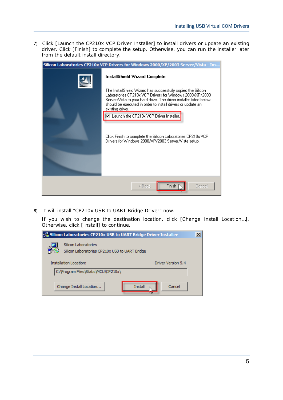7) Click [Launch the CP210x VCP Driver Installer] to install drivers or update an existing driver. Click [Finish] to complete the setup. Otherwise, you can run the installer later from the default install directory.

| Silicon Laboratories CP210x VCP Drivers for Windows 2000/XP/2003 Server/Vista - Ins |                                                                                                                                                                                                                                                                                    |  |
|-------------------------------------------------------------------------------------|------------------------------------------------------------------------------------------------------------------------------------------------------------------------------------------------------------------------------------------------------------------------------------|--|
|                                                                                     | InstallShield Wizard Complete                                                                                                                                                                                                                                                      |  |
|                                                                                     | The InstallShield Wizard has successfully copied the Silicon.<br>Laboratories CP210x VCP Drivers for Windows 2000/XP/2003<br>Server/Vista to your hard drive. The driver installer listed below<br>should be executed in order to install drivers or update an<br>existing driver. |  |
|                                                                                     | □ Launch the CP210x VCP Driver Installer.                                                                                                                                                                                                                                          |  |
|                                                                                     | Click Finish to complete the Silicon Laboratories CP210x VCP.<br>Drivers for Windows 2000/XP/2003 Server/Vista setup.                                                                                                                                                              |  |
|                                                                                     |                                                                                                                                                                                                                                                                                    |  |
|                                                                                     | Finish<br>< Back<br>Cancel                                                                                                                                                                                                                                                         |  |

8) It will install "CP210x USB to UART Bridge Driver" now.

If you wish to change the destination location, click [Change Install Location…]. Otherwise, click [Install] to continue.

| Silicon Laboratories CP210x USB to UART Bridge Driver Installer        | × |
|------------------------------------------------------------------------|---|
| Silicon Laboratories<br>Silicon Laboratories CP210x USB to UART Bridge |   |
| <b>Installation Location:</b><br>Driver Version 5.4                    |   |
| C:\Program Files\Silabs\MCU\CP210x\                                    |   |
| Change Install Location<br><b>Install</b><br>Cancel                    |   |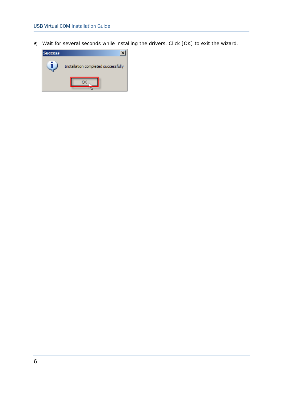9) Wait for several seconds while installing the drivers. Click [OK] to exit the wizard.

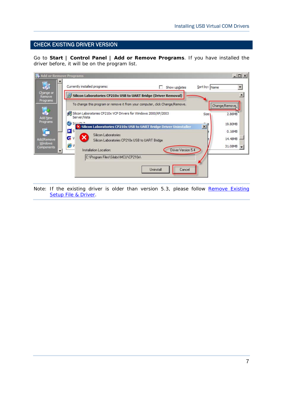### <span id="page-10-0"></span>CHECK EXISTING DRIVER VERSION

Go to **Start | Control Panel | Add or Remove Programs**. If you have installed the driver before, it will be on the program list.

|                       | Add or Remove Programs                                                                              | $ \Box$ $\times$   |
|-----------------------|-----------------------------------------------------------------------------------------------------|--------------------|
|                       | Currently installed programs:<br>Sort by: Name<br>Show updates                                      |                    |
| Change or<br>Remove   | Silicon Laboratories CP210x USB to UART Bridge (Driver Removal)                                     |                    |
| Programs              | To change this program or remove it from your computer, click Change/Remove.                        | Change/Remove      |
| Add New               | Silicon Laboratories CP210x VCP Drivers for Windows 2000/XP/2003<br><b>Size</b><br>Server/Vista     | 2.86MB             |
| Programs              | $C = -TL$<br>$\vert x \vert$<br>X Silicon Laboratories CP210x USB to UART Bridge Driver Uninstaller | 19,80MB            |
|                       | $\mathbf{D}$ s<br>Silicon Laboratories                                                              | 0.16MB             |
| Add/Remove<br>Windows | G<br>Silicon Laboratories CP210x USB to UART Bridge<br>ev                                           | 14.48MB<br>31.08MB |
| Components            | Driver Version 5.4<br>Installation Location:                                                        |                    |
|                       | C:\Program Files\Silabs\MCU\CP210x\                                                                 |                    |
|                       | Uninstall<br>Cancel                                                                                 |                    |
|                       |                                                                                                     |                    |

Note: If the existing driver is older than version 5.3, please follow [Remove Existing](#page-11-0) [Setup File & Driver.](#page-11-0)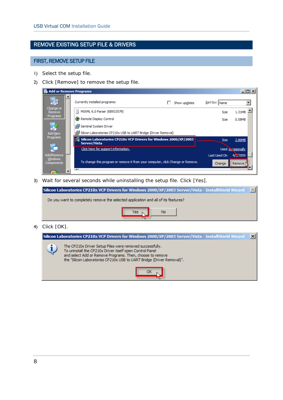### <span id="page-11-0"></span>REMOVE EXISTING SETUP FILE & DRIVERS

### FIRST, REMOVE SETUP FILE

- 1) Select the setup file.
- 2) Click [Remove] to remove the setup file.

| Add or Remove Programs                     |                                                                                                    |                        | $\Box$ o $\Box$    |
|--------------------------------------------|----------------------------------------------------------------------------------------------------|------------------------|--------------------|
| F                                          | Currently installed programs:<br>Show updates                                                      | Sort by: Name          |                    |
| Change or<br>Remove                        | Ħ<br>MSXML 6.0 Parser (KB933579)                                                                   | <b>Size</b>            | 1.31MB             |
| Programs                                   | <b>Com</b> Remote Display Control                                                                  | Size                   | 0.08MB             |
|                                            | Sentinel System Driver                                                                             |                        |                    |
| <b>Add New</b>                             | Silicon Laboratories CP210x USB to UART Bridge (Driver Removal)                                    |                        |                    |
| Programs                                   | $\frac{100}{100}$ Silicon Laboratories CP210x VCP Drivers for Windows 2000/XP/2003<br>Server/Vista | <b>Size</b>            | 2.86MB             |
|                                            | Click here for support information.                                                                |                        | Used occasionally  |
| Add/Remove<br><b>Windows</b><br>Components | To change this program or remove it from your computer, dick Change or Remove.                     | Last Used On<br>Change | 4/5,2009<br>Remove |
|                                            |                                                                                                    |                        |                    |

3) Wait for several seconds while uninstalling the setup file. Click [Yes].

| <b>Silicon Laboratories CP210x VCP Drivers for Windows 2000/XP/2003 Server/Vista - InstallShield Wizard</b> |  |
|-------------------------------------------------------------------------------------------------------------|--|
| Do you want to completely remove the selected application and all of its features?                          |  |
| Yes<br>No                                                                                                   |  |

4) Click [OK].

| <b>Silicon Laboratories CP210x VCP Drivers for Windows 2000/XP/2003 Server/Vista - InstallShield Wizard</b> |                                                                                                                                                                                                                                                             |  |  |  |
|-------------------------------------------------------------------------------------------------------------|-------------------------------------------------------------------------------------------------------------------------------------------------------------------------------------------------------------------------------------------------------------|--|--|--|
|                                                                                                             | The CP210x Driver Setup Files were removed successfully.<br>To uninstall the CP210x Driver itself open Control Panel<br>and select Add or Remove Programs. Then, choose to remove<br>the "Silicon Laboratories CP210x USB to UART Bridge (Driver Removal)". |  |  |  |
|                                                                                                             |                                                                                                                                                                                                                                                             |  |  |  |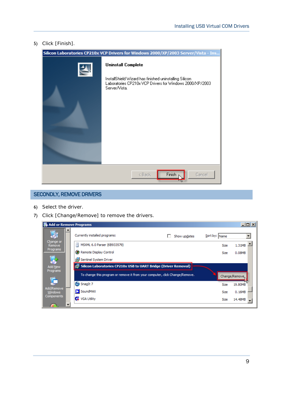<span id="page-12-0"></span>5) Click [Finish].



#### SECONDLY, REMOVE DRIVERS

- 6) Select the driver.
- 7) Click [Change/Remove] to remove the drivers.

| Add or Remove Programs |                          |                                                                              |               | $\Box$ o $\Box$ |
|------------------------|--------------------------|------------------------------------------------------------------------------|---------------|-----------------|
| 看                      |                          | Currently installed programs:<br>Show updates                                | Sort by: Name |                 |
| Change or<br>Remove    |                          | Ħ<br>MSXML 6.0 Parser (KB933579)                                             | <b>Size</b>   | 1.31MB          |
| Programs               |                          | Remote Display Control                                                       | Size          | 0.08MB          |
|                        |                          | Sentinel System Driver                                                       |               |                 |
| <b>Add New</b>         |                          | fig. Silicon Laboratories CP210x USB to UART Bridge (Driver Removal)         |               |                 |
| Programs               |                          | To change this program or remove it from your computer, click Change/Remove. |               | Change/Remove.  |
|                        |                          | s<br>SnagIt 7                                                                | <b>Size</b>   | 19.80MB         |
| Add/Remove<br>Windows  |                          | SoundMAX<br>D                                                                | Size          | 0.16MB          |
| Components             |                          | <b>G</b> VGA Utility                                                         | Size          | 14.48MB         |
|                        | $\overline{\phantom{a}}$ |                                                                              |               |                 |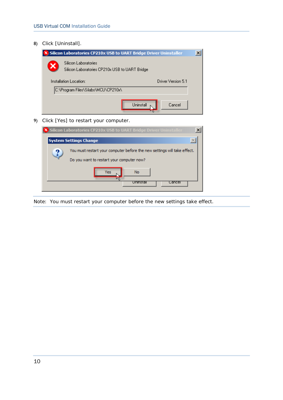8) Click [Uninstall].

| Silicon Laboratories CP210x USB to UART Bridge Driver Uninstaller      |  |
|------------------------------------------------------------------------|--|
| Silicon Laboratories<br>Silicon Laboratories CP210x USB to UART Bridge |  |
| Installation Location:<br>Driver Version 5.1                           |  |
| C:\Program Files\Silabs\MCU\CP210x\                                    |  |
| Uninstall<br>Cancel                                                    |  |

9) Click [Yes] to restart your computer.

|  | X Silicon Laboratories CP210x USB to UART Bridge Driver Uninstaller                                                   |  |
|--|-----------------------------------------------------------------------------------------------------------------------|--|
|  | <b>System Settings Change</b>                                                                                         |  |
|  | You must restart your computer before the new settings will take effect.<br>Do you want to restart your computer now? |  |
|  | <b>No</b><br>Yes<br>Uninstall<br>cancel                                                                               |  |

Note: You must restart your computer before the new settings take effect.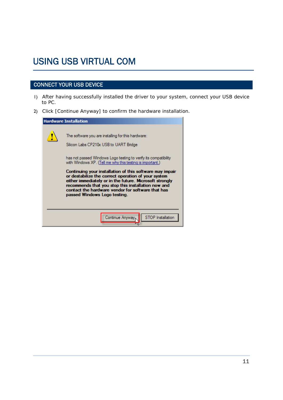### <span id="page-14-0"></span>USING USB VIRTUAL COM

### CONNECT YOUR USB DEVICE

- 1) After having successfully installed the driver to your system, connect your USB device to PC.
- 2) Click [Continue Anyway] to confirm the hardware installation.

| <b>Hardware Installation</b> |                                                                                                                                                                                                                                                                                                                                                                                                                                                                                                                                                       |  |
|------------------------------|-------------------------------------------------------------------------------------------------------------------------------------------------------------------------------------------------------------------------------------------------------------------------------------------------------------------------------------------------------------------------------------------------------------------------------------------------------------------------------------------------------------------------------------------------------|--|
|                              | The software you are installing for this hardware:<br>Silicon Labs CP210x USB to UART Bridge<br>has not passed Windows Logo testing to verify its compatibility<br>with Windows XP. (Tell me why this testing is important.)<br>Continuing your installation of this software may impair<br>or destabilize the correct operation of your system<br>either immediately or in the future. Microsoft strongly<br>recommends that you stop this installation now and<br>contact the hardware vendor for software that has<br>passed Windows Logo testing. |  |
|                              | <b>STOP</b> Installation<br>Continue Anyway.                                                                                                                                                                                                                                                                                                                                                                                                                                                                                                          |  |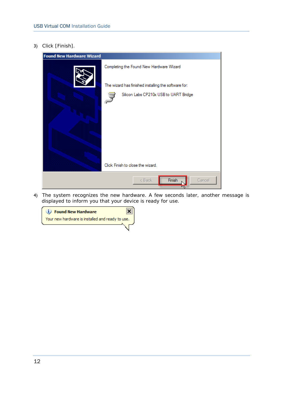3) Click [Finish].

| <b>Found New Hardware Wizard</b> |                                                      |  |
|----------------------------------|------------------------------------------------------|--|
|                                  | Completing the Found New Hardware Wizard             |  |
|                                  | The wizard has finished installing the software for: |  |
|                                  | Silicon Labs CP210x USB to UART Bridge               |  |
|                                  | Click Finish to close the wizard.                    |  |
|                                  | Finish<br>Cancel<br>< Back                           |  |

4) The system recognizes the new hardware. A few seconds later, another message is displayed to inform you that your device is ready for use.

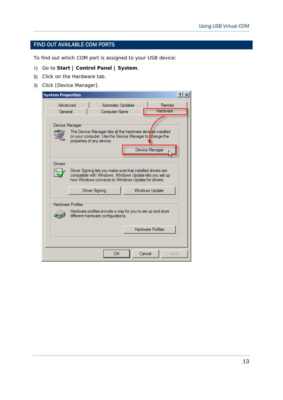#### <span id="page-16-0"></span>FIND OUT AVAILABLE COM PORTS

To find out which COM port is assigned to your USB device:

- 1) Go to **Start | Control Panel | System**.
- 2) Click on the Hardware tab.
- 3) Click [Device Manager].